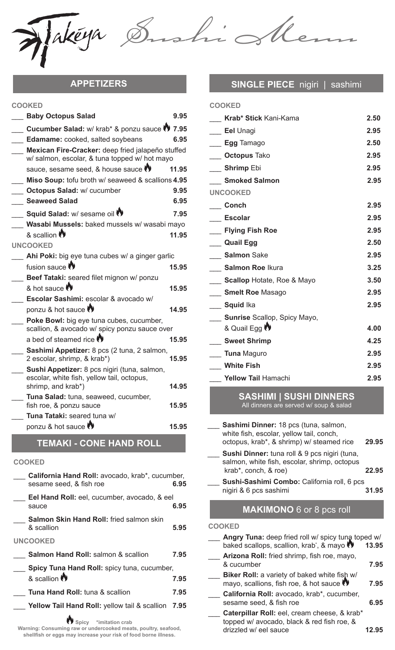Makéya

**COOKED**

ishi

| COONED                                                                                             |       |
|----------------------------------------------------------------------------------------------------|-------|
| <b>Baby Octopus Salad</b>                                                                          | 9.95  |
| Cucumber Salad: w/ krab* & ponzu sauce (1) 7.95                                                    |       |
| Edamame: cooked, salted soybeans                                                                   | 6.95  |
| Mexican Fire-Cracker: deep fried jalapeño stuffed<br>w/ salmon, escolar, & tuna topped w/ hot mayo |       |
| sauce, sesame seed, & house sauce                                                                  | 11.95 |
| Miso Soup: tofu broth w/ seaweed & scallions 4.95                                                  |       |
| <b>Octopus Salad: w/ cucumber</b>                                                                  | 9.95  |
| <b>Seaweed Salad</b>                                                                               | 6.95  |
| Squid Salad: w/ sesame oil <sup>(*)</sup>                                                          | 7.95  |
| Wasabi Mussels: baked mussels w/ wasabi mayo                                                       |       |
| & scallion                                                                                         | 11.95 |
| <b>UNCOOKED</b>                                                                                    |       |
| Ahi Poki: big eye tuna cubes w/ a ginger garlic                                                    |       |
| fusion sauce                                                                                       | 15.95 |
| Beef Tataki: seared filet mignon w/ ponzu                                                          |       |
| & hot sauce <sup>1</sup>                                                                           | 15.95 |
| Escolar Sashimi: escolar & avocado w/                                                              |       |
| ponzu & hot sauce                                                                                  | 14.95 |
| Poke Bowl: big eye tuna cubes, cucumber,<br>scallion, & avocado w/ spicy ponzu sauce over          |       |
| a bed of steamed rice                                                                              | 15.95 |
| Sashimi Appetizer: 8 pcs (2 tuna, 2 salmon,<br>2 escolar, shrimp, & krab*)                         | 15.95 |
| Sushi Appetizer: 8 pcs nigiri (tuna, salmon,<br>escolar, white fish, yellow tail, octopus,         |       |
| shrimp, and krab*)                                                                                 | 14.95 |
| Tuna Salad: tuna, seaweed, cucumber,                                                               |       |
| fish roe, & ponzu sauce                                                                            | 15.95 |
| Tuna Tataki: seared tuna w/                                                                        |       |
| ponzu & hot sauce <sup>(*)</sup>                                                                   | 15.95 |

**TEMAKI - CONE HAND ROLL**

#### **COOKED**

**California Hand Roll:** avocado, krab\*, cucumber,<br>sesame seed. & fish roe **6.95** sesame seed, & fish roe **Eel Hand Roll:** eel, cucumber, avocado, & eel<br>sauce 6.95 sauce **6.95** Salmon Skin Hand Roll: fried salmon skin & scallion **5.95 UNCOOKED** \_\_\_ **Salmon Hand Roll:** salmon & scallion **7.95** \_\_\_ **Spicy Tuna Hand Roll:** spicy tuna, cucumber, & scallion **7.95** \_\_\_ **Tuna Hand Roll:** tuna & scallion **7.95** \_\_\_ **Yellow Tail Hand Roll:** yellow tail & scallion **7.95**

#### **Spicy \*imitation crab**

**Warning: Consuming raw or undercooked meats, poultry, seafood, shellfish or eggs may increase your risk of food borne illness.**

## **APPETIZERS SINGLE PIECE** nigiri | sashimi

| <b>COOKED</b>                     |      |
|-----------------------------------|------|
| <b>Krab* Stick Kani-Kama</b>      | 2.50 |
| <b>Eel Unagi</b>                  | 2.95 |
| <b>Egg Tamago</b>                 | 2.50 |
| <b>Octopus Tako</b>               | 2.95 |
| __ Shrimp Ebi                     | 2.95 |
| <b>Smoked Salmon</b>              | 2.95 |
| <b>UNCOOKED</b>                   |      |
| <b>Conch</b>                      | 2.95 |
| Escolar                           | 2.95 |
| <b>Flying Fish Roe</b>            | 2.95 |
| <b>Quail Egg</b>                  | 2.50 |
| <b>Salmon Sake</b>                | 2.95 |
| <b>Salmon Roe Ikura</b>           | 3.25 |
| <b>Scallop</b> Hotate, Roe & Mayo | 3.50 |
| <b>Smelt Roe Masago</b>           | 2.95 |
| Squid Ika                         | 2.95 |
| Sunrise Scallop, Spicy Mayo,      |      |
| & Quail Egg <sup>(*)</sup>        | 4.00 |
| <b>Sweet Shrimp</b>               | 4.25 |
| <b>Tuna</b> Maguro                | 2.95 |
| <b>White Fish</b>                 | 2.95 |
| <b>Yellow Tail Hamachi</b>        | 2.95 |

### **SASHIMI | SUSHI DINNERS** All dinners are served w/ soup & salad

| Sashimi Dinner: 18 pcs (tuna, salmon,<br>white fish, escolar, yellow tail, conch,<br>octopus, krab*, & shrimp) w/ steamed rice | 29.95 |
|--------------------------------------------------------------------------------------------------------------------------------|-------|
| Sushi Dinner: tuna roll & 9 pcs nigiri (tuna,<br>salmon, white fish, escolar, shrimp, octopus<br>krab*, conch, & roe)          | 22.95 |
| Sushi-Sashimi Combo: California roll, 6 pcs<br>nigiri & 6 pcs sashimi                                                          | 31.95 |
| <b>MAKIMONO 6 or 8 pcs roll</b>                                                                                                |       |

#### **COOKED**

| Angry Tuna: deep fried roll w/ spicy tuna toped w/<br>baked scallops, scallion, krab <sup>*</sup> , & mayo          | 13.95 |
|---------------------------------------------------------------------------------------------------------------------|-------|
| Arizona Roll: fried shrimp, fish roe, mayo,<br>& cucumber                                                           | 7.95  |
| Biker Roll: a variety of baked white fish w/<br>mayo, scallions, fish roe, & hot sauce                              | 7.95  |
| California Roll: avocado, krab*, cucumber,<br>sesame seed, & fish roe                                               | 6.95  |
| Caterpillar Roll: eel, cream cheese, & krab*<br>topped w/ avocado, black & red fish roe, &<br>drizzled w/ eel sauce |       |